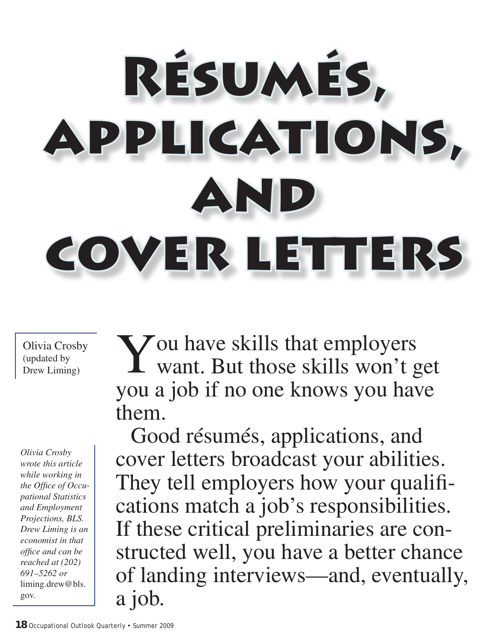# Résumés, applications, and cover letters

Olivia Crosby (updated by Drew Liming)

*Olivia Crosby wrote this article while working in the Office of Occupational Statistics and Employment Projections, BLS. Drew Liming is an economist in that office and can be reached at (202) 691–5262 or* liming.drew@bls. gov.

You have skills that employers<br>
want. But those skills won't get you a job if no one knows you have them.

Good résumés, applications, and cover letters broadcast your abilities. They tell employers how your qualifications match a job's responsibilities. If these critical preliminaries are constructed well, you have a better chance of landing interviews—and, eventually, a job.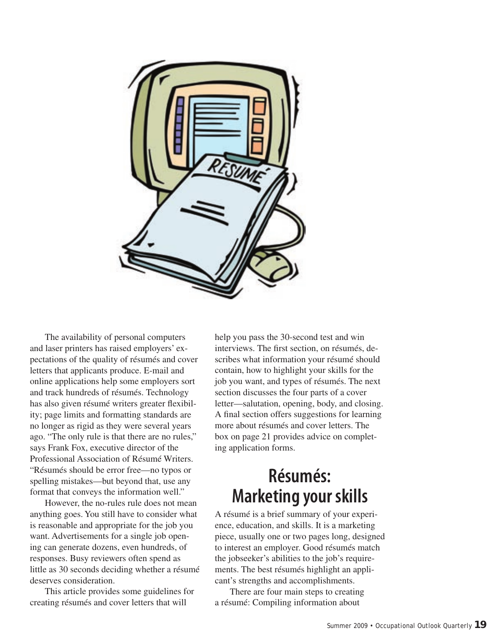

The availability of personal computers and laser printers has raised employers' expectations of the quality of résumés and cover letters that applicants produce. E-mail and online applications help some employers sort and track hundreds of résumés. Technology has also given résumé writers greater flexibility; page limits and formatting standards are no longer as rigid as they were several years ago. "The only rule is that there are no rules," says Frank Fox, executive director of the Professional Association of Résumé Writers. "Résumés should be error free—no typos or spelling mistakes—but beyond that, use any format that conveys the information well."

However, the no-rules rule does not mean anything goes. You still have to consider what is reasonable and appropriate for the job you want. Advertisements for a single job opening can generate dozens, even hundreds, of responses. Busy reviewers often spend as little as 30 seconds deciding whether a résumé deserves consideration.

This article provides some guidelines for creating résumés and cover letters that will

help you pass the 30-second test and win interviews. The first section, on résumés, describes what information your résumé should contain, how to highlight your skills for the job you want, and types of résumés. The next section discusses the four parts of a cover letter—salutation, opening, body, and closing. A final section offers suggestions for learning more about résumés and cover letters. The box on page 21 provides advice on completing application forms.

## **Résumés: Marketing your skills**

A résumé is a brief summary of your experience, education, and skills. It is a marketing piece, usually one or two pages long, designed to interest an employer. Good résumés match the jobseeker's abilities to the job's requirements. The best résumés highlight an applicant's strengths and accomplishments.

There are four main steps to creating a résumé: Compiling information about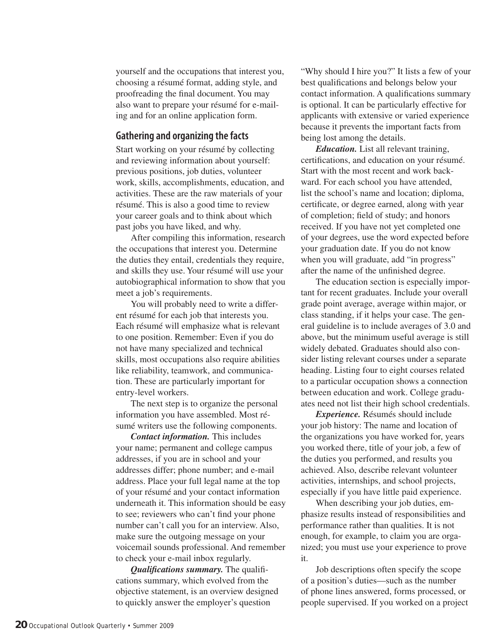yourself and the occupations that interest you, choosing a résumé format, adding style, and proofreading the final document. You may also want to prepare your résumé for e-mailing and for an online application form.

#### **Gathering and organizing the facts**

Start working on your résumé by collecting and reviewing information about yourself: previous positions, job duties, volunteer work, skills, accomplishments, education, and activities. These are the raw materials of your résumé. This is also a good time to review your career goals and to think about which past jobs you have liked, and why.

After compiling this information, research the occupations that interest you. Determine the duties they entail, credentials they require, and skills they use. Your résumé will use your autobiographical information to show that you meet a job's requirements.

You will probably need to write a different résumé for each job that interests you. Each résumé will emphasize what is relevant to one position. Remember: Even if you do not have many specialized and technical skills, most occupations also require abilities like reliability, teamwork, and communication. These are particularly important for entry-level workers.

The next step is to organize the personal information you have assembled. Most résumé writers use the following components.

*Contact information.* This includes your name; permanent and college campus addresses, if you are in school and your addresses differ; phone number; and e-mail address. Place your full legal name at the top of your résumé and your contact information underneath it. This information should be easy to see; reviewers who can't find your phone number can't call you for an interview. Also, make sure the outgoing message on your voicemail sounds professional. And remember to check your e-mail inbox regularly.

*Qualifications summary.* The qualifications summary, which evolved from the objective statement, is an overview designed to quickly answer the employer's question

"Why should I hire you?" It lists a few of your best qualifications and belongs below your contact information. A qualifications summary is optional. It can be particularly effective for applicants with extensive or varied experience because it prevents the important facts from being lost among the details.

*Education.* List all relevant training, certifications, and education on your résumé. Start with the most recent and work backward. For each school you have attended, list the school's name and location; diploma, certificate, or degree earned, along with year of completion; field of study; and honors received. If you have not yet completed one of your degrees, use the word expected before your graduation date. If you do not know when you will graduate, add "in progress" after the name of the unfinished degree.

The education section is especially important for recent graduates. Include your overall grade point average, average within major, or class standing, if it helps your case. The general guideline is to include averages of 3.0 and above, but the minimum useful average is still widely debated. Graduates should also consider listing relevant courses under a separate heading. Listing four to eight courses related to a particular occupation shows a connection between education and work. College graduates need not list their high school credentials.

*Experience.* Résumés should include your job history: The name and location of the organizations you have worked for, years you worked there, title of your job, a few of the duties you performed, and results you achieved. Also, describe relevant volunteer activities, internships, and school projects, especially if you have little paid experience.

When describing your job duties, emphasize results instead of responsibilities and performance rather than qualities. It is not enough, for example, to claim you are organized; you must use your experience to prove it.

Job descriptions often specify the scope of a position's duties—such as the number of phone lines answered, forms processed, or people supervised. If you worked on a project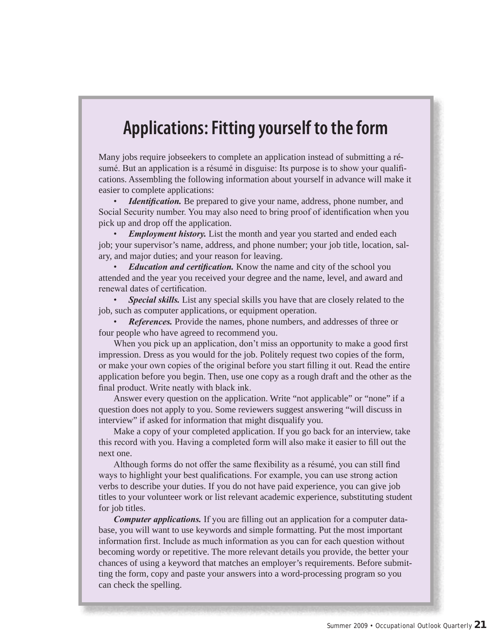## **Applications: Fitting yourself to the form**

Many jobs require jobseekers to complete an application instead of submitting a résumé. But an application is a résumé in disguise: Its purpose is to show your qualifications. Assembling the following information about yourself in advance will make it easier to complete applications:

• *Identification.* Be prepared to give your name, address, phone number, and Social Security number. You may also need to bring proof of identification when you pick up and drop off the application.

• *Employment history.* List the month and year you started and ended each job; your supervisor's name, address, and phone number; your job title, location, salary, and major duties; and your reason for leaving.

• *Education and certification.* Know the name and city of the school you attended and the year you received your degree and the name, level, and award and renewal dates of certification.

• *Special skills.* List any special skills you have that are closely related to the job, such as computer applications, or equipment operation.

• *References.* Provide the names, phone numbers, and addresses of three or four people who have agreed to recommend you.

When you pick up an application, don't miss an opportunity to make a good first impression. Dress as you would for the job. Politely request two copies of the form, or make your own copies of the original before you start filling it out. Read the entire application before you begin. Then, use one copy as a rough draft and the other as the final product. Write neatly with black ink.

Answer every question on the application. Write "not applicable" or "none" if a question does not apply to you. Some reviewers suggest answering "will discuss in interview" if asked for information that might disqualify you.

Make a copy of your completed application. If you go back for an interview, take this record with you. Having a completed form will also make it easier to fill out the next one.

Although forms do not offer the same flexibility as a résumé, you can still find ways to highlight your best qualifications. For example, you can use strong action verbs to describe your duties. If you do not have paid experience, you can give job titles to your volunteer work or list relevant academic experience, substituting student for job titles.

*Computer applications.* If you are filling out an application for a computer database, you will want to use keywords and simple formatting. Put the most important information first. Include as much information as you can for each question without becoming wordy or repetitive. The more relevant details you provide, the better your chances of using a keyword that matches an employer's requirements. Before submitting the form, copy and paste your answers into a word-processing program so you can check the spelling.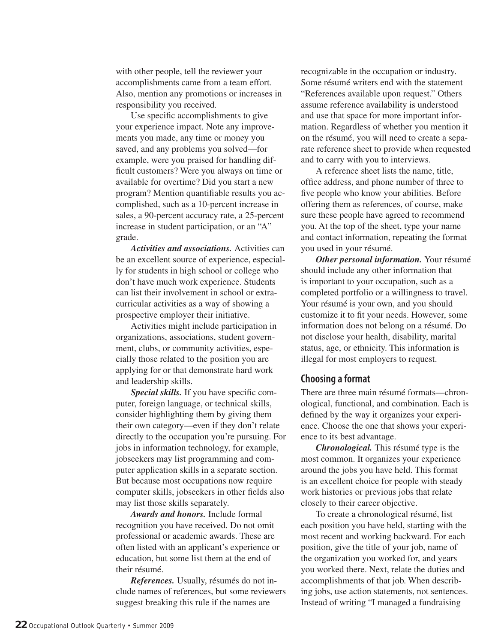with other people, tell the reviewer your accomplishments came from a team effort. Also, mention any promotions or increases in responsibility you received.

Use specific accomplishments to give your experience impact. Note any improvements you made, any time or money you saved, and any problems you solved—for example, were you praised for handling difficult customers? Were you always on time or available for overtime? Did you start a new program? Mention quantifiable results you accomplished, such as a 10-percent increase in sales, a 90-percent accuracy rate, a 25-percent increase in student participation, or an "A" grade.

*Activities and associations.* Activities can be an excellent source of experience, especially for students in high school or college who don't have much work experience. Students can list their involvement in school or extracurricular activities as a way of showing a prospective employer their initiative.

Activities might include participation in organizations, associations, student government, clubs, or community activities, especially those related to the position you are applying for or that demonstrate hard work and leadership skills.

*Special skills.* If you have specific computer, foreign language, or technical skills, consider highlighting them by giving them their own category—even if they don't relate directly to the occupation you're pursuing. For jobs in information technology, for example, jobseekers may list programming and computer application skills in a separate section. But because most occupations now require computer skills, jobseekers in other fields also may list those skills separately.

*Awards and honors.* Include formal recognition you have received. Do not omit professional or academic awards. These are often listed with an applicant's experience or education, but some list them at the end of their résumé.

*References.* Usually, résumés do not include names of references, but some reviewers suggest breaking this rule if the names are

recognizable in the occupation or industry. Some résumé writers end with the statement "References available upon request." Others assume reference availability is understood and use that space for more important information. Regardless of whether you mention it on the résumé, you will need to create a separate reference sheet to provide when requested and to carry with you to interviews.

A reference sheet lists the name, title, office address, and phone number of three to five people who know your abilities. Before offering them as references, of course, make sure these people have agreed to recommend you. At the top of the sheet, type your name and contact information, repeating the format you used in your résumé.

*Other personal information.* Your résumé should include any other information that is important to your occupation, such as a completed portfolio or a willingness to travel. Your résumé is your own, and you should customize it to fit your needs. However, some information does not belong on a résumé. Do not disclose your health, disability, marital status, age, or ethnicity. This information is illegal for most employers to request.

#### **Choosing a format**

There are three main résumé formats—chronological, functional, and combination. Each is defined by the way it organizes your experience. Choose the one that shows your experience to its best advantage.

*Chronological.* This résumé type is the most common. It organizes your experience around the jobs you have held. This format is an excellent choice for people with steady work histories or previous jobs that relate closely to their career objective.

To create a chronological résumé, list each position you have held, starting with the most recent and working backward. For each position, give the title of your job, name of the organization you worked for, and years you worked there. Next, relate the duties and accomplishments of that job. When describing jobs, use action statements, not sentences. Instead of writing "I managed a fundraising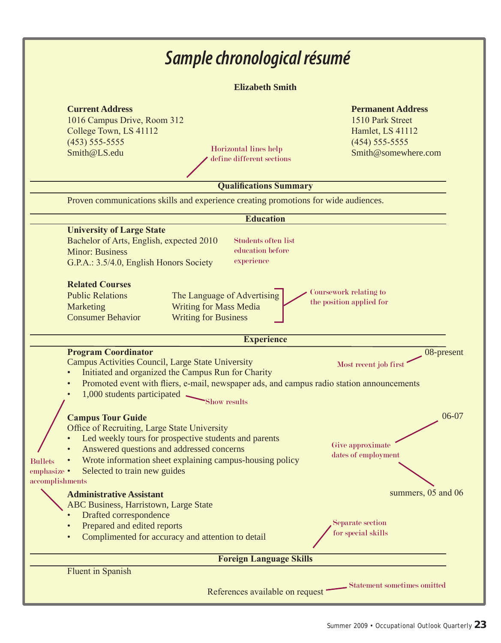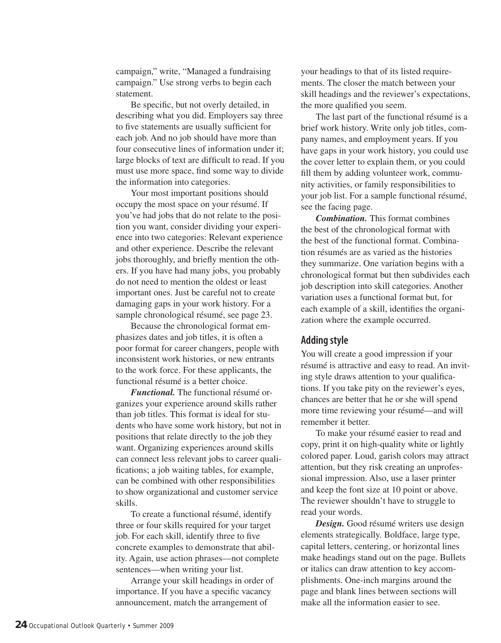campaign," write, "Managed a fundraising campaign." Use strong verbs to begin each statement.

Be specific, but not overly detailed, in describing what you did. Employers say three to five statements are usually sufficient for each job. And no job should have more than four consecutive lines of information under it; large blocks of text are difficult to read. If you must use more space, find some way to divide the information into categories.

Your most important positions should occupy the most space on your résumé. If you've had jobs that do not relate to the position you want, consider dividing your experience into two categories: Relevant experience and other experience. Describe the relevant jobs thoroughly, and briefly mention the others. If you have had many jobs, you probably do not need to mention the oldest or least important ones. Just be careful not to create damaging gaps in your work history. For a sample chronological résumé, see page 23.

Because the chronological format emphasizes dates and job titles, it is often a poor format for career changers, people with inconsistent work histories, or new entrants to the work force. For these applicants, the functional résumé is a better choice.

*Functional.* The functional résumé organizes your experience around skills rather than job titles. This format is ideal for students who have some work history, but not in positions that relate directly to the job they want. Organizing experiences around skills can connect less relevant jobs to career qualifications; a job waiting tables, for example, can be combined with other responsibilities to show organizational and customer service skills.

To create a functional résumé, identify three or four skills required for your target job. For each skill, identify three to five concrete examples to demonstrate that ability. Again, use action phrases—not complete sentences—when writing your list.

Arrange your skill headings in order of importance. If you have a specific vacancy announcement, match the arrangement of

your headings to that of its listed requirements. The closer the match between your skill headings and the reviewer's expectations, the more qualified you seem.

The last part of the functional résumé is a brief work history. Write only job titles, company names, and employment years. If you have gaps in your work history, you could use the cover letter to explain them, or you could fill them by adding volunteer work, community activities, or family responsibilities to your job list. For a sample functional résumé, see the facing page.

*Combination.* This format combines the best of the chronological format with the best of the functional format. Combination résumés are as varied as the histories they summarize. One variation begins with a chronological format but then subdivides each job description into skill categories. Another variation uses a functional format but, for each example of a skill, identifies the organization where the example occurred.

### **Adding style**

You will create a good impression if your résumé is attractive and easy to read. An inviting style draws attention to your qualifications. If you take pity on the reviewer's eyes, chances are better that he or she will spend more time reviewing your résumé—and will remember it better.

To make your résumé easier to read and copy, print it on high-quality white or lightly colored paper. Loud, garish colors may attract attention, but they risk creating an unprofessional impression. Also, use a laser printer and keep the font size at 10 point or above. The reviewer shouldn't have to struggle to read your words.

*Design.* Good résumé writers use design elements strategically. Boldface, large type, capital letters, centering, or horizontal lines make headings stand out on the page. Bullets or italics can draw attention to key accomplishments. One-inch margins around the page and blank lines between sections will make all the information easier to see.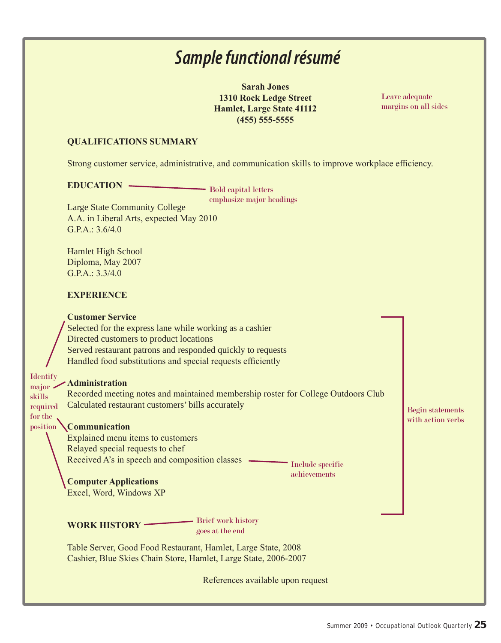## *Sample functional résumé*

**Sarah Jones 1310 Rock Ledge Street Hamlet, Large State 41112 (455) 555-5555**

Leave adequate margins on all sides

#### **QUALIFICATIONS SUMMARY**

Strong customer service, administrative, and communication skills to improve workplace efficiency.

#### **EDUCATION**

Bold capital letters emphasize major headings

Large State Community College A.A. in Liberal Arts, expected May 2010 G.P.A.: 3.6/4.0

Hamlet High School Diploma, May 2007 G.P.A.: 3.3/4.0

#### **EXPERIENCE**

#### **Customer Service**

Selected for the express lane while working as a cashier Directed customers to product locations Served restaurant patrons and responded quickly to requests Handled food substitutions and special requests efficiently

#### **Administration** Identify major

skills

for the position

Recorded meeting notes and maintained membership roster for College Outdoors Club Calculated restaurant customers' bills accurately required

#### **Communication**

Explained menu items to customers Relayed special requests to chef Received A's in speech and composition classes

Include specific achievements

**Computer Applications** Excel, Word, Windows XP

**WORK HISTORY**

Brief work history goes at the end

Table Server, Good Food Restaurant, Hamlet, Large State, 2008 Cashier, Blue Skies Chain Store, Hamlet, Large State, 2006-2007

References available upon request

Begin statements with action verbs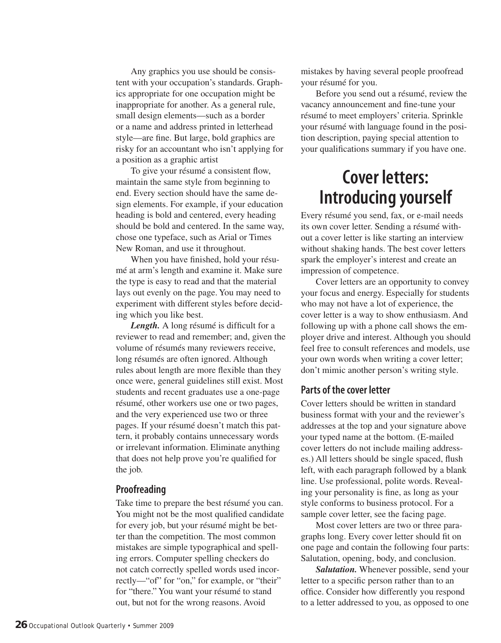Any graphics you use should be consistent with your occupation's standards. Graphics appropriate for one occupation might be inappropriate for another. As a general rule, small design elements—such as a border or a name and address printed in letterhead style—are fine. But large, bold graphics are risky for an accountant who isn't applying for a position as a graphic artist

To give your résumé a consistent flow, maintain the same style from beginning to end. Every section should have the same design elements. For example, if your education heading is bold and centered, every heading should be bold and centered. In the same way, chose one typeface, such as Arial or Times New Roman, and use it throughout.

When you have finished, hold your résumé at arm's length and examine it. Make sure the type is easy to read and that the material lays out evenly on the page. You may need to experiment with different styles before deciding which you like best.

*Length.* A long résumé is difficult for a reviewer to read and remember; and, given the volume of résumés many reviewers receive, long résumés are often ignored. Although rules about length are more flexible than they once were, general guidelines still exist. Most students and recent graduates use a one-page résumé, other workers use one or two pages, and the very experienced use two or three pages. If your résumé doesn't match this pattern, it probably contains unnecessary words or irrelevant information. Eliminate anything that does not help prove you're qualified for the job.

#### **Proofreading**

Take time to prepare the best résumé you can. You might not be the most qualified candidate for every job, but your résumé might be better than the competition. The most common mistakes are simple typographical and spelling errors. Computer spelling checkers do not catch correctly spelled words used incorrectly—"of" for "on," for example, or "their" for "there." You want your résumé to stand out, but not for the wrong reasons. Avoid

mistakes by having several people proofread your résumé for you.

Before you send out a résumé, review the vacancy announcement and fine-tune your résumé to meet employers' criteria. Sprinkle your résumé with language found in the position description, paying special attention to your qualifications summary if you have one.

## **Cover letters: Introducing yourself**

Every résumé you send, fax, or e-mail needs its own cover letter. Sending a résumé without a cover letter is like starting an interview without shaking hands. The best cover letters spark the employer's interest and create an impression of competence.

Cover letters are an opportunity to convey your focus and energy. Especially for students who may not have a lot of experience, the cover letter is a way to show enthusiasm. And following up with a phone call shows the employer drive and interest. Although you should feel free to consult references and models, use your own words when writing a cover letter; don't mimic another person's writing style.

#### **Parts of the cover letter**

Cover letters should be written in standard business format with your and the reviewer's addresses at the top and your signature above your typed name at the bottom. (E-mailed cover letters do not include mailing addresses.) All letters should be single spaced, flush left, with each paragraph followed by a blank line. Use professional, polite words. Revealing your personality is fine, as long as your style conforms to business protocol. For a sample cover letter, see the facing page.

Most cover letters are two or three paragraphs long. Every cover letter should fit on one page and contain the following four parts: Salutation, opening, body, and conclusion.

*Salutation.* Whenever possible, send your letter to a specific person rather than to an office. Consider how differently you respond to a letter addressed to you, as opposed to one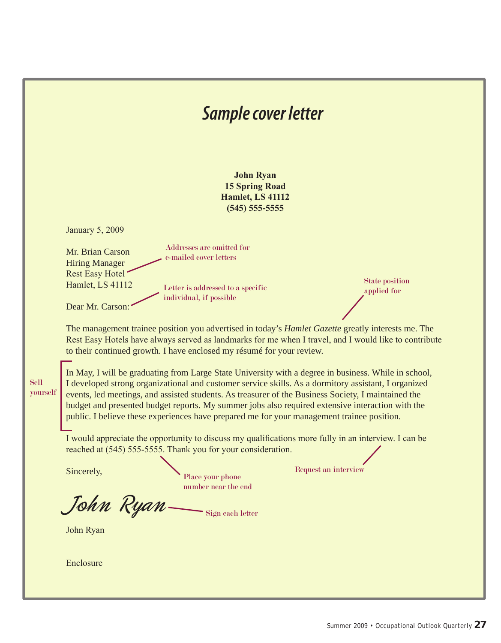|                         | Sample cover letter                                                                                                                                                                                                                                                                                                                                                                                                                                                                                                                                                                                                                                                                                                                                                                                                                                                                                                                                                                                                                                                                                                                                                                                                                                                                                                                                                                                                                              |
|-------------------------|--------------------------------------------------------------------------------------------------------------------------------------------------------------------------------------------------------------------------------------------------------------------------------------------------------------------------------------------------------------------------------------------------------------------------------------------------------------------------------------------------------------------------------------------------------------------------------------------------------------------------------------------------------------------------------------------------------------------------------------------------------------------------------------------------------------------------------------------------------------------------------------------------------------------------------------------------------------------------------------------------------------------------------------------------------------------------------------------------------------------------------------------------------------------------------------------------------------------------------------------------------------------------------------------------------------------------------------------------------------------------------------------------------------------------------------------------|
|                         | <b>John Ryan</b><br><b>15 Spring Road</b><br><b>Hamlet, LS 41112</b><br>$(545)$ 555-5555                                                                                                                                                                                                                                                                                                                                                                                                                                                                                                                                                                                                                                                                                                                                                                                                                                                                                                                                                                                                                                                                                                                                                                                                                                                                                                                                                         |
| <b>Sell</b><br>yourself | <b>January 5, 2009</b><br>Addresses are omitted for<br>Mr. Brian Carson<br>e-mailed cover letters<br><b>Hiring Manager</b><br><b>Rest Easy Hotel</b><br><b>State position</b><br>Hamlet, LS 41112<br>Letter is addressed to a specific<br>applied for<br>individual, if possible<br>Dear Mr. Carson:<br>The management trainee position you advertised in today's <i>Hamlet Gazette</i> greatly interests me. The<br>Rest Easy Hotels have always served as landmarks for me when I travel, and I would like to contribute<br>to their continued growth. I have enclosed my résumé for your review.<br>In May, I will be graduating from Large State University with a degree in business. While in school,<br>I developed strong organizational and customer service skills. As a dormitory assistant, I organized<br>events, led meetings, and assisted students. As treasurer of the Business Society, I maintained the<br>budget and presented budget reports. My summer jobs also required extensive interaction with the<br>public. I believe these experiences have prepared me for your management trainee position.<br>I would appreciate the opportunity to discuss my qualifications more fully in an interview. I can be<br>reached at (545) 555-5555. Thank you for your consideration.<br>Request an interview<br>Sincerely,<br>Place your phone<br>number near the end<br>John Ryan<br>Sign each letter<br>John Ryan<br>Enclosure |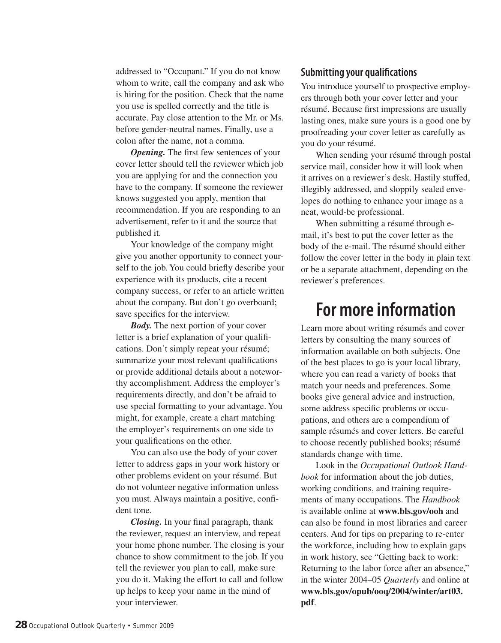addressed to "Occupant." If you do not know whom to write, call the company and ask who is hiring for the position. Check that the name you use is spelled correctly and the title is accurate. Pay close attention to the Mr. or Ms. before gender-neutral names. Finally, use a colon after the name, not a comma.

*Opening.* The first few sentences of your cover letter should tell the reviewer which job you are applying for and the connection you have to the company. If someone the reviewer knows suggested you apply, mention that recommendation. If you are responding to an advertisement, refer to it and the source that published it.

Your knowledge of the company might give you another opportunity to connect yourself to the job. You could briefly describe your experience with its products, cite a recent company success, or refer to an article written about the company. But don't go overboard; save specifics for the interview.

*Body.* The next portion of your cover letter is a brief explanation of your qualifications. Don't simply repeat your résumé; summarize your most relevant qualifications or provide additional details about a noteworthy accomplishment. Address the employer's requirements directly, and don't be afraid to use special formatting to your advantage. You might, for example, create a chart matching the employer's requirements on one side to your qualifications on the other.

You can also use the body of your cover letter to address gaps in your work history or other problems evident on your résumé. But do not volunteer negative information unless you must. Always maintain a positive, confident tone.

*Closing.* In your final paragraph, thank the reviewer, request an interview, and repeat your home phone number. The closing is your chance to show commitment to the job. If you tell the reviewer you plan to call, make sure you do it. Making the effort to call and follow up helps to keep your name in the mind of your interviewer.

### **Submitting your qualifications**

You introduce yourself to prospective employers through both your cover letter and your résumé. Because first impressions are usually lasting ones, make sure yours is a good one by proofreading your cover letter as carefully as you do your résumé.

When sending your résumé through postal service mail, consider how it will look when it arrives on a reviewer's desk. Hastily stuffed, illegibly addressed, and sloppily sealed envelopes do nothing to enhance your image as a neat, would-be professional.

When submitting a résumé through email, it's best to put the cover letter as the body of the e-mail. The résumé should either follow the cover letter in the body in plain text or be a separate attachment, depending on the reviewer's preferences.

## **For more information**

Learn more about writing résumés and cover letters by consulting the many sources of information available on both subjects. One of the best places to go is your local library, where you can read a variety of books that match your needs and preferences. Some books give general advice and instruction, some address specific problems or occupations, and others are a compendium of sample résumés and cover letters. Be careful to choose recently published books; résumé standards change with time.

Look in the *Occupational Outlook Handbook* for information about the job duties, working conditions, and training requirements of many occupations. The *Handbook* is available online at **www.bls.gov/ooh** and can also be found in most libraries and career centers. And for tips on preparing to re-enter the workforce, including how to explain gaps in work history, see "Getting back to work: Returning to the labor force after an absence," in the winter 2004–05 *Quarterly* and online at **www.bls.gov/opub/ooq/2004/winter/art03. pdf**.